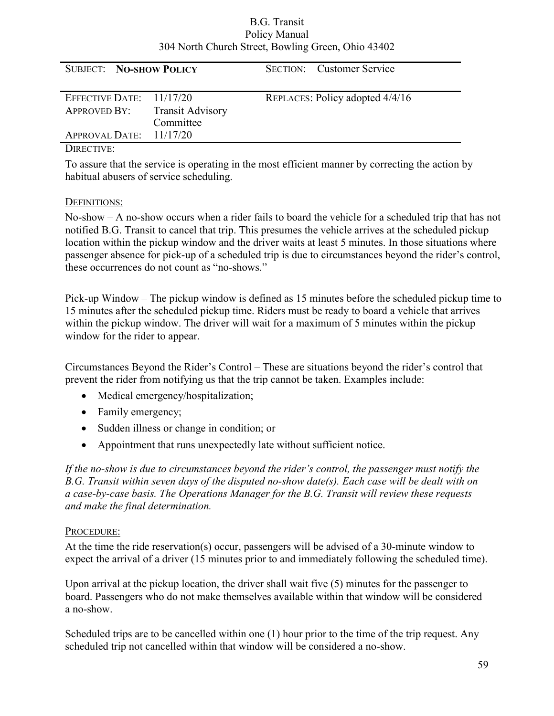#### B.G. Transit Policy Manual 304 North Church Street, Bowling Green, Ohio 43402

| <b>SUBJECT: NO-SHOW POLICY</b>                                     |           | <b>SECTION:</b> Customer Service |
|--------------------------------------------------------------------|-----------|----------------------------------|
| EFFECTIVE DATE: $11/17/20$<br><b>APPROVED BY:</b> Transit Advisory | Committee | REPLACES: Policy adopted 4/4/16  |
| APPROVAL DATE: $11/17/20$                                          |           |                                  |

#### DIRECTIVE:

To assure that the service is operating in the most efficient manner by correcting the action by habitual abusers of service scheduling.

### DEFINITIONS:

No-show – A no-show occurs when a rider fails to board the vehicle for a scheduled trip that has not notified B.G. Transit to cancel that trip. This presumes the vehicle arrives at the scheduled pickup location within the pickup window and the driver waits at least 5 minutes. In those situations where passenger absence for pick-up of a scheduled trip is due to circumstances beyond the rider's control, these occurrences do not count as "no-shows."

Pick-up Window – The pickup window is defined as 15 minutes before the scheduled pickup time to 15 minutes after the scheduled pickup time. Riders must be ready to board a vehicle that arrives within the pickup window. The driver will wait for a maximum of 5 minutes within the pickup window for the rider to appear.

Circumstances Beyond the Rider's Control – These are situations beyond the rider's control that prevent the rider from notifying us that the trip cannot be taken. Examples include:

- Medical emergency/hospitalization;
- Family emergency;
- Sudden illness or change in condition; or
- Appointment that runs unexpectedly late without sufficient notice.

If the no-show is due to circumstances beyond the rider's control, the passenger must notify the B.G. Transit within seven days of the disputed no-show date(s). Each case will be dealt with on a case-by-case basis. The Operations Manager for the B.G. Transit will review these requests and make the final determination.

## PROCEDURE:

At the time the ride reservation(s) occur, passengers will be advised of a 30-minute window to expect the arrival of a driver (15 minutes prior to and immediately following the scheduled time).

Upon arrival at the pickup location, the driver shall wait five (5) minutes for the passenger to board. Passengers who do not make themselves available within that window will be considered a no-show.

Scheduled trips are to be cancelled within one (1) hour prior to the time of the trip request. Any scheduled trip not cancelled within that window will be considered a no-show.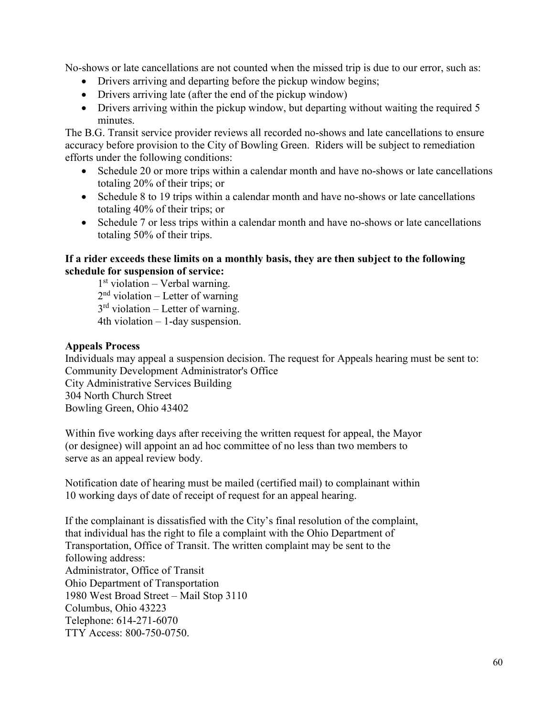No-shows or late cancellations are not counted when the missed trip is due to our error, such as:

- Drivers arriving and departing before the pickup window begins;
- Drivers arriving late (after the end of the pickup window)
- Drivers arriving within the pickup window, but departing without waiting the required 5 minutes.

The B.G. Transit service provider reviews all recorded no-shows and late cancellations to ensure accuracy before provision to the City of Bowling Green. Riders will be subject to remediation efforts under the following conditions:

- Schedule 20 or more trips within a calendar month and have no-shows or late cancellations totaling 20% of their trips; or
- Schedule 8 to 19 trips within a calendar month and have no-shows or late cancellations totaling 40% of their trips; or
- Schedule 7 or less trips within a calendar month and have no-shows or late cancellations totaling 50% of their trips.

### If a rider exceeds these limits on a monthly basis, they are then subject to the following schedule for suspension of service:

1 st violation – Verbal warning. 2<sup>nd</sup> violation – Letter of warning 3<sup>rd</sup> violation – Letter of warning. 4th violation – 1-day suspension.

# Appeals Process

Individuals may appeal a suspension decision. The request for Appeals hearing must be sent to: Community Development Administrator's Office City Administrative Services Building 304 North Church Street Bowling Green, Ohio 43402

Within five working days after receiving the written request for appeal, the Mayor (or designee) will appoint an ad hoc committee of no less than two members to serve as an appeal review body.

Notification date of hearing must be mailed (certified mail) to complainant within 10 working days of date of receipt of request for an appeal hearing.

If the complainant is dissatisfied with the City's final resolution of the complaint, that individual has the right to file a complaint with the Ohio Department of Transportation, Office of Transit. The written complaint may be sent to the following address: Administrator, Office of Transit Ohio Department of Transportation 1980 West Broad Street – Mail Stop 3110 Columbus, Ohio 43223 Telephone: 614-271-6070 TTY Access: 800-750-0750.